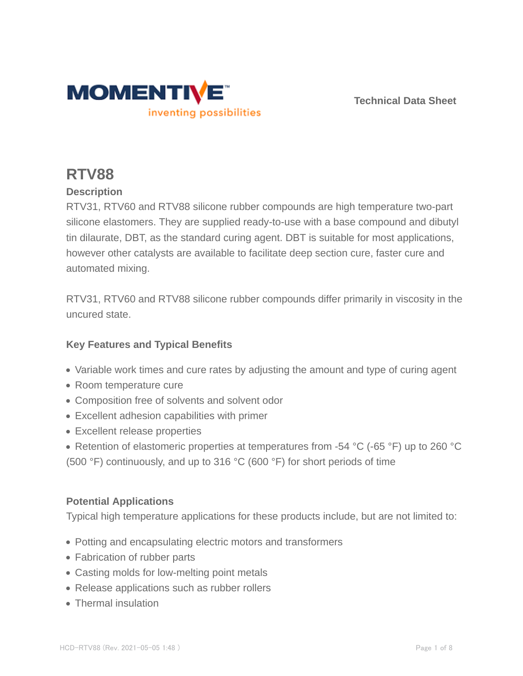

**Technical Data Sheet**

# **RTV88**

## **Description**

RTV31, RTV60 and RTV88 silicone rubber compounds are high temperature two-part silicone elastomers. They are supplied ready-to-use with a base compound and dibutyl tin dilaurate, DBT, as the standard curing agent. DBT is suitable for most applications, however other catalysts are available to facilitate deep section cure, faster cure and automated mixing.

RTV31, RTV60 and RTV88 silicone rubber compounds differ primarily in viscosity in the uncured state.

### **Key Features and Typical Benefits**

- Variable work times and cure rates by adjusting the amount and type of curing agent
- Room temperature cure
- Composition free of solvents and solvent odor
- Excellent adhesion capabilities with primer
- Excellent release properties
- Retention of elastomeric properties at temperatures from -54 °C (-65 °F) up to 260 °C (500 °F) continuously, and up to 316 °C (600 °F) for short periods of time

#### **Potential Applications**

Typical high temperature applications for these products include, but are not limited to:

- Potting and encapsulating electric motors and transformers
- Fabrication of rubber parts
- Casting molds for low-melting point metals
- Release applications such as rubber rollers
- Thermal insulation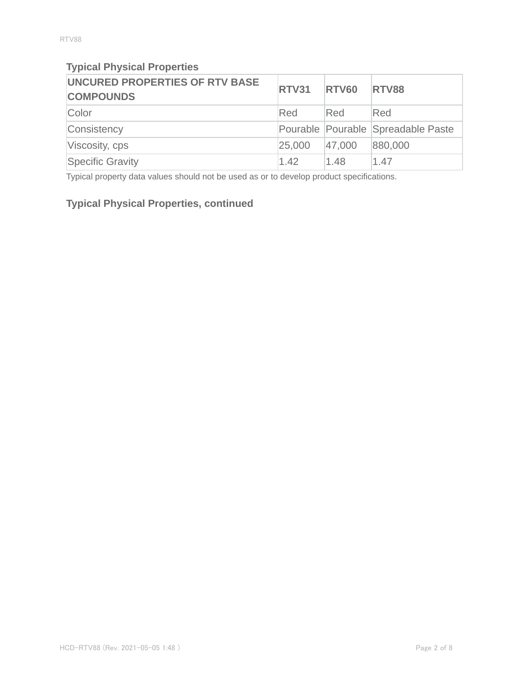## **Typical Physical Properties**

| UNCURED PROPERTIES OF RTV BASE<br><b>COMPOUNDS</b> | <b>RTV31</b> | <b>RTV60</b> | <b>RTV88</b>                       |
|----------------------------------------------------|--------------|--------------|------------------------------------|
| Color                                              | Red          | Red          | Red                                |
| Consistency                                        |              |              | Pourable Pourable Spreadable Paste |
| Viscosity, cps                                     | 25,000       | 47,000       | 880,000                            |
| Specific Gravity                                   | 1.42         | 1.48         | 1.47                               |

Typical property data values should not be used as or to develop product specifications.

## **Typical Physical Properties, continued**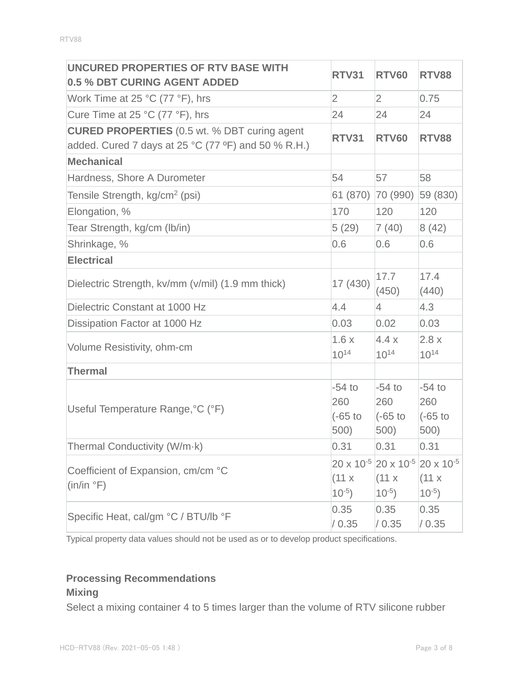| UNCURED PROPERTIES OF RTV BASE WITH                                                                        | <b>RTV31</b>                          | <b>RTV60</b>                                                                                 | <b>RTV88</b>                         |
|------------------------------------------------------------------------------------------------------------|---------------------------------------|----------------------------------------------------------------------------------------------|--------------------------------------|
| 0.5 % DBT CURING AGENT ADDED                                                                               |                                       |                                                                                              |                                      |
| Work Time at 25 $^{\circ}$ C (77 $^{\circ}$ F), hrs                                                        | $\overline{2}$                        | $\overline{2}$                                                                               | 0.75                                 |
| Cure Time at 25 °C (77 °F), hrs                                                                            | 24                                    | 24                                                                                           | 24                                   |
| <b>CURED PROPERTIES</b> (0.5 wt. % DBT curing agent<br>added. Cured 7 days at 25 °C (77 °F) and 50 % R.H.) | <b>RTV31</b>                          | <b>RTV60</b>                                                                                 | <b>RTV88</b>                         |
| <b>Mechanical</b>                                                                                          |                                       |                                                                                              |                                      |
| Hardness, Shore A Durometer                                                                                | 54                                    | 57                                                                                           | 58                                   |
| Tensile Strength, kg/cm <sup>2</sup> (psi)                                                                 |                                       | 61 (870) 70 (990)                                                                            | 59 (830)                             |
| Elongation, %                                                                                              | 170                                   | 120                                                                                          | 120                                  |
| Tear Strength, kg/cm (lb/in)                                                                               | 5(29)                                 | 7(40)                                                                                        | 8(42)                                |
| Shrinkage, %                                                                                               | 0.6                                   | 0.6                                                                                          | 0.6                                  |
| <b>Electrical</b>                                                                                          |                                       |                                                                                              |                                      |
| Dielectric Strength, kv/mm (v/mil) (1.9 mm thick)                                                          | 17 (430)                              | 17.7<br>(450)                                                                                | 17.4<br>(440)                        |
| Dielectric Constant at 1000 Hz                                                                             | 4.4                                   | $\overline{4}$                                                                               | 4.3                                  |
| Dissipation Factor at 1000 Hz                                                                              | 0.03                                  | 0.02                                                                                         | 0.03                                 |
| Volume Resistivity, ohm-cm                                                                                 | 1.6x<br>$10^{14}$                     | 4.4x<br>$10^{14}$                                                                            | 2.8x<br>$10^{14}$                    |
| <b>Thermal</b>                                                                                             |                                       |                                                                                              |                                      |
| Useful Temperature Range, °C (°F)                                                                          | $-54$ to<br>260<br>$(-65)$ to<br>500) | $-54$ to<br>260<br>$(-65)$ to<br>500)                                                        | $-54$ to<br>260<br>$(-65$ to<br>500) |
| Thermal Conductivity (W/m·k)                                                                               | 0.31                                  | 0.31                                                                                         | 0.31                                 |
| Coefficient of Expansion, cm/cm °C<br>(in/in °F)                                                           | (11 x)<br>$10^{-5}$ )                 | $20 \times 10^{-5}$ 20 x 10 <sup>-5</sup> 20 x 10 <sup>-5</sup><br>$(11 \times$<br>$10^{-5}$ | (11 x)<br>$10^{-5}$ )                |
| Specific Heat, cal/gm °C / BTU/lb °F                                                                       | 0.35<br>/ 0.35                        | 0.35<br>/ 0.35                                                                               | 0.35<br>/ 0.35                       |

Typical property data values should not be used as or to develop product specifications.

## **Processing Recommendations**

## **Mixing**

Select a mixing container 4 to 5 times larger than the volume of RTV silicone rubber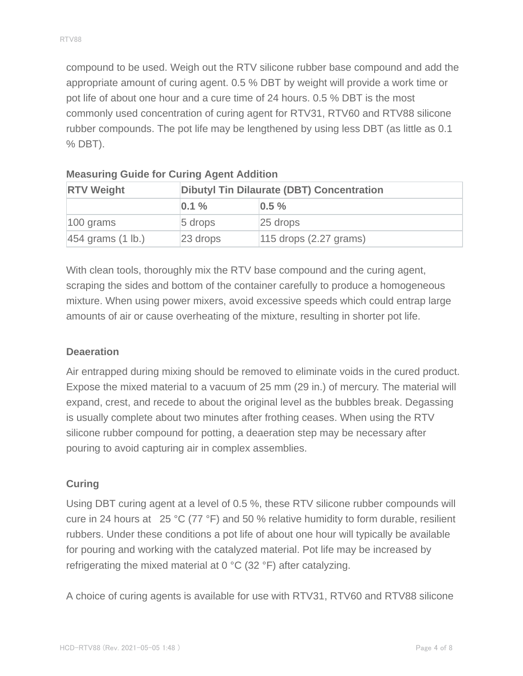compound to be used. Weigh out the RTV silicone rubber base compound and add the appropriate amount of curing agent. 0.5 % DBT by weight will provide a work time or pot life of about one hour and a cure time of 24 hours. 0.5 % DBT is the most commonly used concentration of curing agent for RTV31, RTV60 and RTV88 silicone rubber compounds. The pot life may be lengthened by using less DBT (as little as 0.1 % DBT).

| <b>RTV Weight</b>              |             | <b>Dibutyl Tin Dilaurate (DBT) Concentration</b> |  |  |
|--------------------------------|-------------|--------------------------------------------------|--|--|
|                                | $ 0.1\%$    | $0.5 \%$                                         |  |  |
| $ 100 \text{ grams} $          | $5$ drops   | $ 25$ drops                                      |  |  |
| $ 454$ grams $(1 \text{ lb.})$ | $ 23$ drops | $115$ drops $(2.27$ grams)                       |  |  |

| <b>Measuring Guide for Curing Agent Addition</b> |  |  |  |
|--------------------------------------------------|--|--|--|
|                                                  |  |  |  |

With clean tools, thoroughly mix the RTV base compound and the curing agent, scraping the sides and bottom of the container carefully to produce a homogeneous mixture. When using power mixers, avoid excessive speeds which could entrap large amounts of air or cause overheating of the mixture, resulting in shorter pot life.

#### **Deaeration**

Air entrapped during mixing should be removed to eliminate voids in the cured product. Expose the mixed material to a vacuum of 25 mm (29 in.) of mercury. The material will expand, crest, and recede to about the original level as the bubbles break. Degassing is usually complete about two minutes after frothing ceases. When using the RTV silicone rubber compound for potting, a deaeration step may be necessary after pouring to avoid capturing air in complex assemblies.

### **Curing**

Using DBT curing agent at a level of 0.5 %, these RTV silicone rubber compounds will cure in 24 hours at 25 °C (77 °F) and 50 % relative humidity to form durable, resilient rubbers. Under these conditions a pot life of about one hour will typically be available for pouring and working with the catalyzed material. Pot life may be increased by refrigerating the mixed material at 0 °C (32 °F) after catalyzing.

A choice of curing agents is available for use with RTV31, RTV60 and RTV88 silicone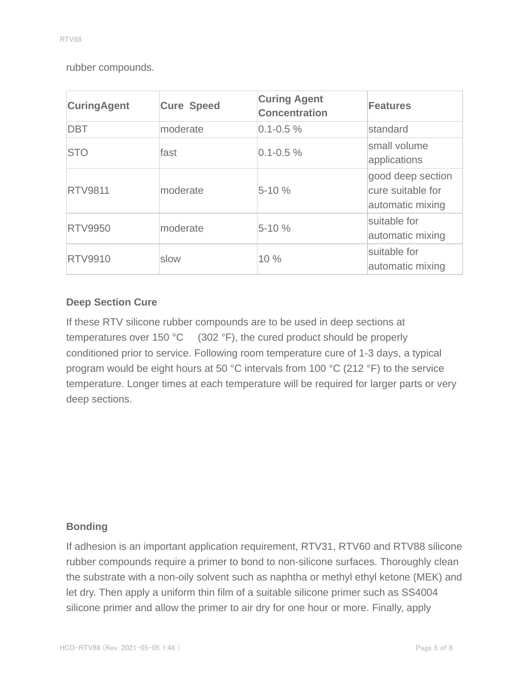rubber compounds.

| <b>CuringAgent</b> | <b>Cure Speed</b> | <b>Curing Agent</b><br><b>Concentration</b> | <b>Features</b>                                            |
|--------------------|-------------------|---------------------------------------------|------------------------------------------------------------|
| <b>DBT</b>         | moderate          | $0.1 - 0.5 \%$                              | standard                                                   |
| <b>STO</b>         | fast              | $0.1 - 0.5 \%$                              | small volume<br>applications                               |
| <b>RTV9811</b>     | moderate          | $5 - 10%$                                   | good deep section<br>cure suitable for<br>automatic mixing |
| <b>RTV9950</b>     | moderate          | $5 - 10%$                                   | suitable for<br>automatic mixing                           |
| <b>RTV9910</b>     | slow              | 10 %                                        | suitable for<br>automatic mixing                           |

### **Deep Section Cure**

If these RTV silicone rubber compounds are to be used in deep sections at temperatures over 150 °C (302 °F), the cured product should be properly conditioned prior to service. Following room temperature cure of 1-3 days, a typical program would be eight hours at 50 °C intervals from 100 °C (212 °F) to the service temperature. Longer times at each temperature will be required for larger parts or very deep sections.

#### **Bonding**

If adhesion is an important application requirement, RTV31, RTV60 and RTV88 silicone rubber compounds require a primer to bond to non-silicone surfaces. Thoroughly clean the substrate with a non-oily solvent such as naphtha or methyl ethyl ketone (MEK) and let dry. Then apply a uniform thin film of a suitable silicone primer such as SS4004 silicone primer and allow the primer to air dry for one hour or more. Finally, apply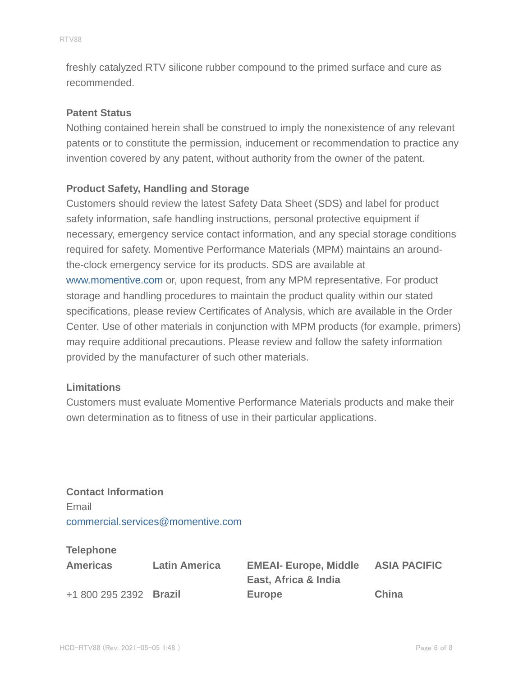freshly catalyzed RTV silicone rubber compound to the primed surface and cure as recommended.

#### **Patent Status**

Nothing contained herein shall be construed to imply the nonexistence of any relevant patents or to constitute the permission, inducement or recommendation to practice any invention covered by any patent, without authority from the owner of the patent.

#### **Product Safety, Handling and Storage**

Customers should review the latest Safety Data Sheet (SDS) and label for product safety information, safe handling instructions, personal protective equipment if necessary, emergency service contact information, and any special storage conditions required for safety. Momentive Performance Materials (MPM) maintains an aroundthe-clock emergency service for its products. SDS are available at www.momentive.com or, upon request, from any MPM representative. For product storage and handling procedures to maintain the product quality within our stated specifications, please review Certificates of Analysis, which are available in the Order Center. Use of other materials in conjunction with MPM products (for example, primers) may require additional precautions. Please review and follow the safety information provided by the manufacturer of such other materials.

#### **Limitations**

Customers must evaluate Momentive Performance Materials products and make their own determination as to fitness of use in their particular applications.

**Contact Information** Email commercial.services@momentive.com

#### **Telephone**

| <b>Americas</b>        | <b>Latin America</b> | <b>EMEAI- Europe, Middle</b> | <b>ASIA PACIFIC</b> |
|------------------------|----------------------|------------------------------|---------------------|
|                        |                      | East, Africa & India         |                     |
| +1 800 295 2392 Brazil |                      | Europe                       | China               |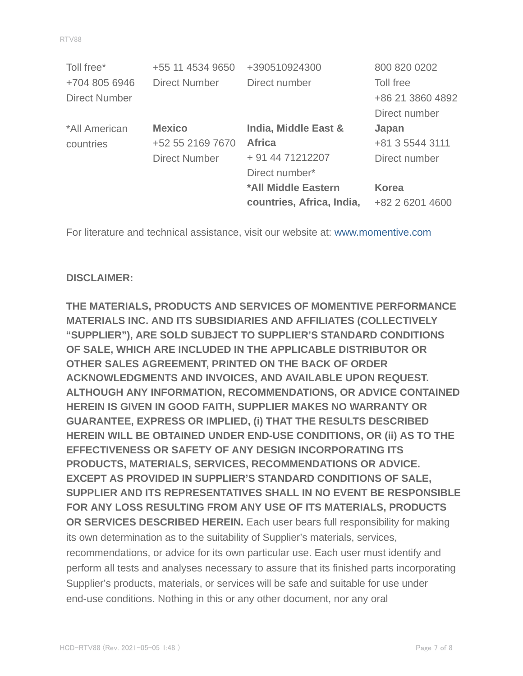| Toll free*           | +55 11 4534 9650     | +390510924300             | 800 820 0202     |
|----------------------|----------------------|---------------------------|------------------|
| +704 805 6946        | <b>Direct Number</b> | Direct number             | Toll free        |
| <b>Direct Number</b> |                      |                           | +86 21 3860 4892 |
|                      |                      |                           | Direct number    |
| *All American        | <b>Mexico</b>        | India, Middle East &      | Japan            |
| countries            | +52 55 2169 7670     | <b>Africa</b>             | +81 3 5544 3111  |
|                      | <b>Direct Number</b> | + 91 44 71212207          | Direct number    |
|                      |                      | Direct number*            |                  |
|                      |                      | *All Middle Eastern       | <b>Korea</b>     |
|                      |                      | countries, Africa, India, | +82 2 6201 4600  |

For literature and technical assistance, visit our website at: www.momentive.com

#### **DISCLAIMER:**

**THE MATERIALS, PRODUCTS AND SERVICES OF MOMENTIVE PERFORMANCE MATERIALS INC. AND ITS SUBSIDIARIES AND AFFILIATES (COLLECTIVELY "SUPPLIER"), ARE SOLD SUBJECT TO SUPPLIER'S STANDARD CONDITIONS OF SALE, WHICH ARE INCLUDED IN THE APPLICABLE DISTRIBUTOR OR OTHER SALES AGREEMENT, PRINTED ON THE BACK OF ORDER ACKNOWLEDGMENTS AND INVOICES, AND AVAILABLE UPON REQUEST. ALTHOUGH ANY INFORMATION, RECOMMENDATIONS, OR ADVICE CONTAINED HEREIN IS GIVEN IN GOOD FAITH, SUPPLIER MAKES NO WARRANTY OR GUARANTEE, EXPRESS OR IMPLIED, (i) THAT THE RESULTS DESCRIBED HEREIN WILL BE OBTAINED UNDER END-USE CONDITIONS, OR (ii) AS TO THE EFFECTIVENESS OR SAFETY OF ANY DESIGN INCORPORATING ITS PRODUCTS, MATERIALS, SERVICES, RECOMMENDATIONS OR ADVICE. EXCEPT AS PROVIDED IN SUPPLIER'S STANDARD CONDITIONS OF SALE, SUPPLIER AND ITS REPRESENTATIVES SHALL IN NO EVENT BE RESPONSIBLE FOR ANY LOSS RESULTING FROM ANY USE OF ITS MATERIALS, PRODUCTS OR SERVICES DESCRIBED HEREIN.** Each user bears full responsibility for making its own determination as to the suitability of Supplier's materials, services, recommendations, or advice for its own particular use. Each user must identify and perform all tests and analyses necessary to assure that its finished parts incorporating Supplier's products, materials, or services will be safe and suitable for use under end-use conditions. Nothing in this or any other document, nor any oral